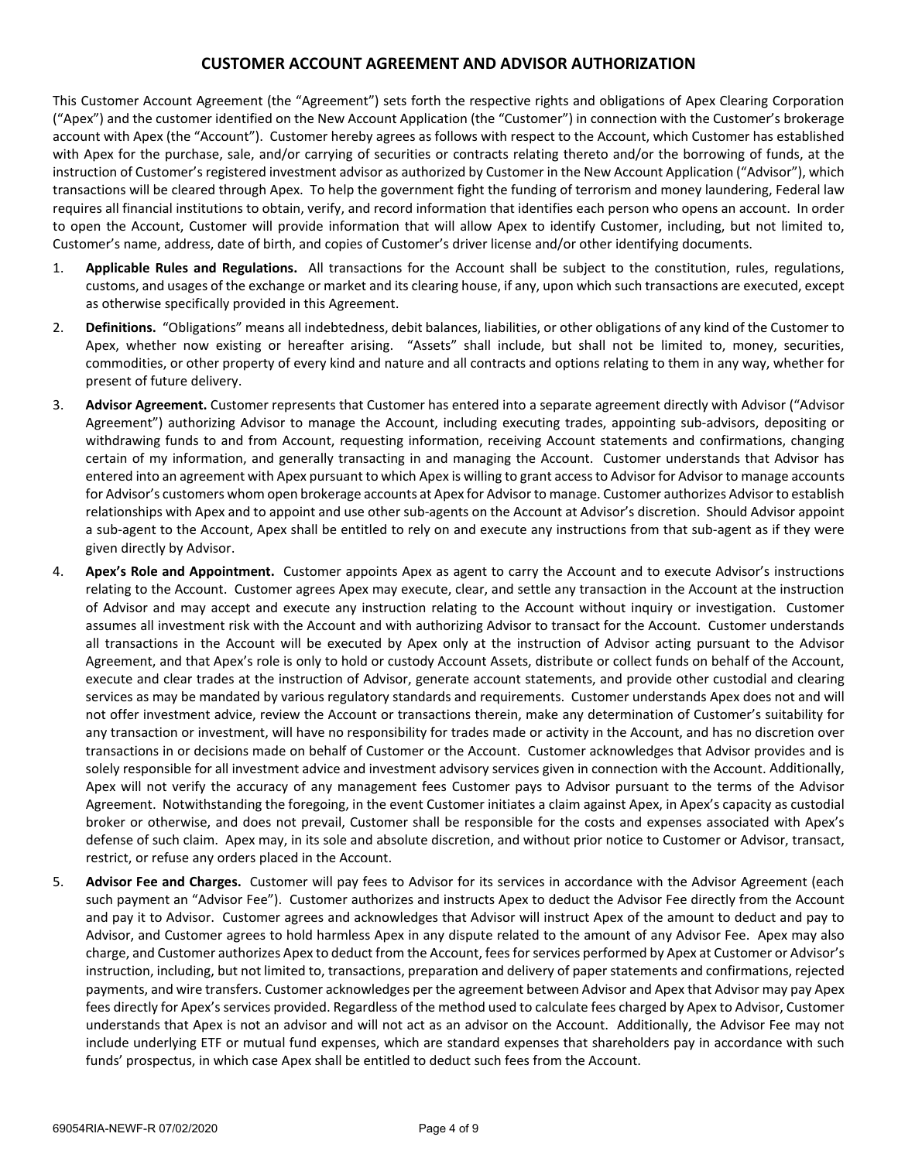## **CUSTOMER ACCOUNT AGREEMENT AND ADVISOR AUTHORIZATION**

This Customer Account Agreement (the "Agreement") sets forth the respective rights and obligations of Apex Clearing Corporation ("Apex") and the customer identified on the New Account Application (the "Customer") in connection with the Customer's brokerage account with Apex (the "Account"). Customer hereby agrees as follows with respect to the Account, which Customer has established with Apex for the purchase, sale, and/or carrying of securities or contracts relating thereto and/or the borrowing of funds, at the instruction of Customer's registered investment advisor as authorized by Customer in the New Account Application ("Advisor"), which transactions will be cleared through Apex. To help the government fight the funding of terrorism and money laundering, Federal law requires all financial institutions to obtain, verify, and record information that identifies each person who opens an account. In order to open the Account, Customer will provide information that will allow Apex to identify Customer, including, but not limited to, Customer's name, address, date of birth, and copies of Customer's driver license and/or other identifying documents.

- 1. **Applicable Rules and Regulations.** All transactions for the Account shall be subject to the constitution, rules, regulations, customs, and usages of the exchange or market and its clearing house, if any, upon which such transactions are executed, except as otherwise specifically provided in this Agreement.
- 2. **Definitions.** "Obligations" means all indebtedness, debit balances, liabilities, or other obligations of any kind of the Customer to Apex, whether now existing or hereafter arising. "Assets" shall include, but shall not be limited to, money, securities, commodities, or other property of every kind and nature and all contracts and options relating to them in any way, whether for present of future delivery.
- 3. **Advisor Agreement.** Customer represents that Customer has entered into a separate agreement directly with Advisor ("Advisor Agreement") authorizing Advisor to manage the Account, including executing trades, appointing sub-advisors, depositing or withdrawing funds to and from Account, requesting information, receiving Account statements and confirmations, changing certain of my information, and generally transacting in and managing the Account. Customer understands that Advisor has entered into an agreement with Apex pursuant to which Apex is willing to grant access to Advisor for Advisor to manage accounts for Advisor's customers whom open brokerage accounts at Apex for Advisor to manage. Customer authorizes Advisor to establish relationships with Apex and to appoint and use other sub-agents on the Account at Advisor's discretion. Should Advisor appoint a sub-agent to the Account, Apex shall be entitled to rely on and execute any instructions from that sub-agent as if they were given directly by Advisor.
- 4. **Apex's Role and Appointment.** Customer appoints Apex as agent to carry the Account and to execute Advisor's instructions relating to the Account. Customer agrees Apex may execute, clear, and settle any transaction in the Account at the instruction of Advisor and may accept and execute any instruction relating to the Account without inquiry or investigation. Customer assumes all investment risk with the Account and with authorizing Advisor to transact for the Account. Customer understands all transactions in the Account will be executed by Apex only at the instruction of Advisor acting pursuant to the Advisor Agreement, and that Apex's role is only to hold or custody Account Assets, distribute or collect funds on behalf of the Account, execute and clear trades at the instruction of Advisor, generate account statements, and provide other custodial and clearing services as may be mandated by various regulatory standards and requirements. Customer understands Apex does not and will not offer investment advice, review the Account or transactions therein, make any determination of Customer's suitability for any transaction or investment, will have no responsibility for trades made or activity in the Account, and has no discretion over transactions in or decisions made on behalf of Customer or the Account. Customer acknowledges that Advisor provides and is solely responsible for all investment advice and investment advisory services given in connection with the Account. Additionally, Apex will not verify the accuracy of any management fees Customer pays to Advisor pursuant to the terms of the Advisor Agreement. Notwithstanding the foregoing, in the event Customer initiates a claim against Apex, in Apex's capacity as custodial broker or otherwise, and does not prevail, Customer shall be responsible for the costs and expenses associated with Apex's defense of such claim. Apex may, in its sole and absolute discretion, and without prior notice to Customer or Advisor, transact, restrict, or refuse any orders placed in the Account.
- 5. **Advisor Fee and Charges.** Customer will pay fees to Advisor for its services in accordance with the Advisor Agreement (each such payment an "Advisor Fee"). Customer authorizes and instructs Apex to deduct the Advisor Fee directly from the Account and pay it to Advisor. Customer agrees and acknowledges that Advisor will instruct Apex of the amount to deduct and pay to Advisor, and Customer agrees to hold harmless Apex in any dispute related to the amount of any Advisor Fee. Apex may also charge, and Customer authorizes Apex to deduct from the Account, fees for services performed by Apex at Customer or Advisor's instruction, including, but not limited to, transactions, preparation and delivery of paper statements and confirmations, rejected payments, and wire transfers. Customer acknowledges per the agreement between Advisor and Apex that Advisor may pay Apex fees directly for Apex's services provided. Regardless of the method used to calculate fees charged by Apex to Advisor, Customer understands that Apex is not an advisor and will not act as an advisor on the Account. Additionally, the Advisor Fee may not include underlying ETF or mutual fund expenses, which are standard expenses that shareholders pay in accordance with such funds' prospectus, in which case Apex shall be entitled to deduct such fees from the Account.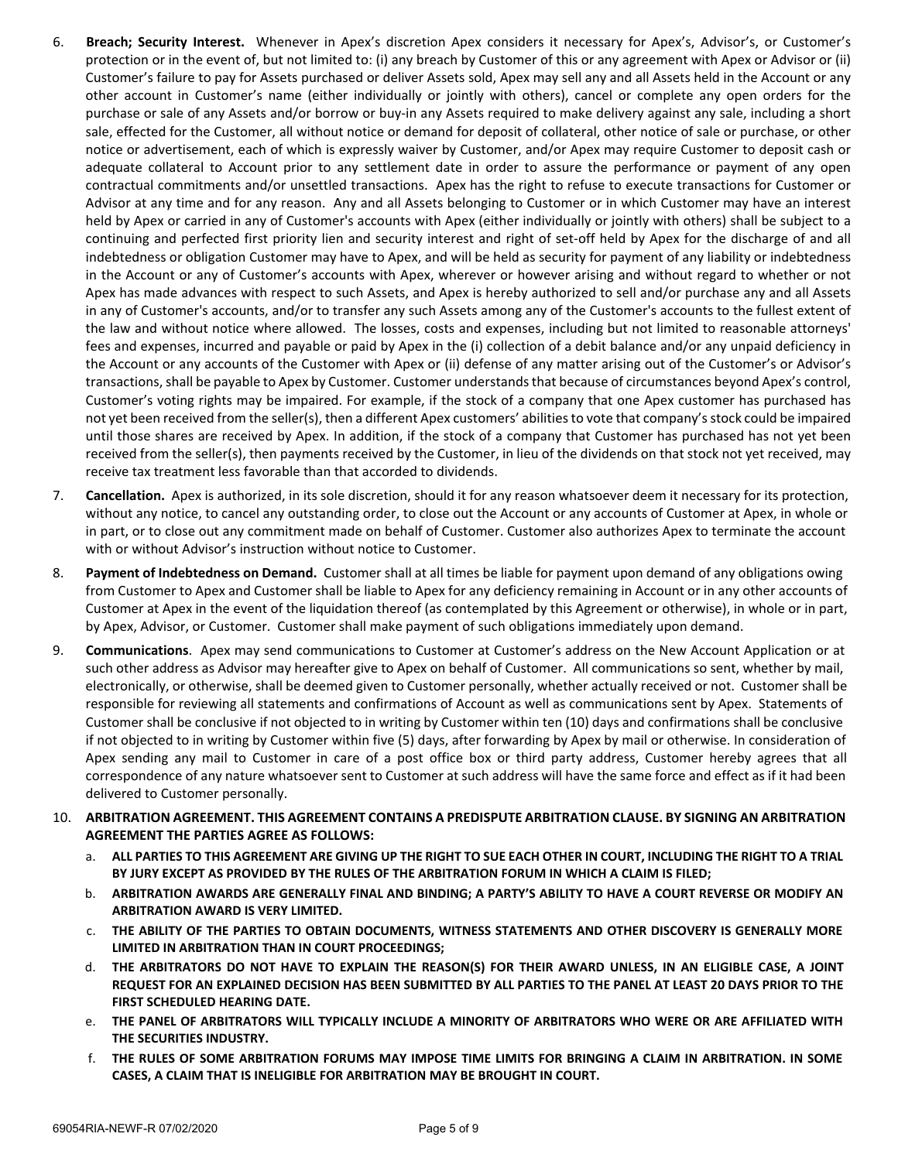- 6. **Breach; Security Interest.** Whenever in Apex's discretion Apex considers it necessary for Apex's, Advisor's, or Customer's protection or in the event of, but not limited to: (i) any breach by Customer of this or any agreement with Apex or Advisor or (ii) Customer's failure to pay for Assets purchased or deliver Assets sold, Apex may sell any and all Assets held in the Account or any other account in Customer's name (either individually or jointly with others), cancel or complete any open orders for the purchase or sale of any Assets and/or borrow or buy-in any Assets required to make delivery against any sale, including a short sale, effected for the Customer, all without notice or demand for deposit of collateral, other notice of sale or purchase, or other notice or advertisement, each of which is expressly waiver by Customer, and/or Apex may require Customer to deposit cash or adequate collateral to Account prior to any settlement date in order to assure the performance or payment of any open contractual commitments and/or unsettled transactions. Apex has the right to refuse to execute transactions for Customer or Advisor at any time and for any reason. Any and all Assets belonging to Customer or in which Customer may have an interest held by Apex or carried in any of Customer's accounts with Apex (either individually or jointly with others) shall be subject to a continuing and perfected first priority lien and security interest and right of set-off held by Apex for the discharge of and all indebtedness or obligation Customer may have to Apex, and will be held as security for payment of any liability or indebtedness in the Account or any of Customer's accounts with Apex, wherever or however arising and without regard to whether or not Apex has made advances with respect to such Assets, and Apex is hereby authorized to sell and/or purchase any and all Assets in any of Customer's accounts, and/or to transfer any such Assets among any of the Customer's accounts to the fullest extent of the law and without notice where allowed. The losses, costs and expenses, including but not limited to reasonable attorneys' fees and expenses, incurred and payable or paid by Apex in the (i) collection of a debit balance and/or any unpaid deficiency in the Account or any accounts of the Customer with Apex or (ii) defense of any matter arising out of the Customer's or Advisor's transactions, shall be payable to Apex by Customer. Customer understands that because of circumstances beyond Apex's control, Customer's voting rights may be impaired. For example, if the stock of a company that one Apex customer has purchased has not yet been received from the seller(s), then a different Apex customers' abilities to vote that company's stock could be impaired until those shares are received by Apex. In addition, if the stock of a company that Customer has purchased has not yet been received from the seller(s), then payments received by the Customer, in lieu of the dividends on that stock not yet received, may receive tax treatment less favorable than that accorded to dividends.
- 7. **Cancellation.** Apex is authorized, in its sole discretion, should it for any reason whatsoever deem it necessary for its protection, without any notice, to cancel any outstanding order, to close out the Account or any accounts of Customer at Apex, in whole or in part, or to close out any commitment made on behalf of Customer. Customer also authorizes Apex to terminate the account with or without Advisor's instruction without notice to Customer.
- 8. **Payment of Indebtedness on Demand.** Customer shall at all times be liable for payment upon demand of any obligations owing from Customer to Apex and Customer shall be liable to Apex for any deficiency remaining in Account or in any other accounts of Customer at Apex in the event of the liquidation thereof (as contemplated by this Agreement or otherwise), in whole or in part, by Apex, Advisor, or Customer. Customer shall make payment of such obligations immediately upon demand.
- 9. **Communications**. Apex may send communications to Customer at Customer's address on the New Account Application or at such other address as Advisor may hereafter give to Apex on behalf of Customer. All communications so sent, whether by mail, electronically, or otherwise, shall be deemed given to Customer personally, whether actually received or not. Customer shall be responsible for reviewing all statements and confirmations of Account as well as communications sent by Apex. Statements of Customer shall be conclusive if not objected to in writing by Customer within ten (10) days and confirmations shall be conclusive if not objected to in writing by Customer within five (5) days, after forwarding by Apex by mail or otherwise. In consideration of Apex sending any mail to Customer in care of a post office box or third party address, Customer hereby agrees that all correspondence of any nature whatsoever sent to Customer at such address will have the same force and effect as if it had been delivered to Customer personally.
- 10. **ARBITRATION AGREEMENT. THIS AGREEMENT CONTAINS A PREDISPUTE ARBITRATION CLAUSE. BY SIGNING AN ARBITRATION AGREEMENT THE PARTIES AGREE AS FOLLOWS:**
	- a. **ALL PARTIES TO THIS AGREEMENT ARE GIVING UP THE RIGHT TO SUE EACH OTHER IN COURT, INCLUDING THE RIGHT TO A TRIAL BY JURY EXCEPT AS PROVIDED BY THE RULES OF THE ARBITRATION FORUM IN WHICH A CLAIM IS FILED;**
	- b. **ARBITRATION AWARDS ARE GENERALLY FINAL AND BINDING; A PARTY'S ABILITY TO HAVE A COURT REVERSE OR MODIFY AN ARBITRATION AWARD IS VERY LIMITED.**
	- c. **THE ABILITY OF THE PARTIES TO OBTAIN DOCUMENTS, WITNESS STATEMENTS AND OTHER DISCOVERY IS GENERALLY MORE LIMITED IN ARBITRATION THAN IN COURT PROCEEDINGS;**
	- d. **THE ARBITRATORS DO NOT HAVE TO EXPLAIN THE REASON(S) FOR THEIR AWARD UNLESS, IN AN ELIGIBLE CASE, A JOINT REQUEST FOR AN EXPLAINED DECISION HAS BEEN SUBMITTED BY ALL PARTIES TO THE PANEL AT LEAST 20 DAYS PRIOR TO THE FIRST SCHEDULED HEARING DATE.**
	- e. **THE PANEL OF ARBITRATORS WILL TYPICALLY INCLUDE A MINORITY OF ARBITRATORS WHO WERE OR ARE AFFILIATED WITH THE SECURITIES INDUSTRY.**
	- f. **THE RULES OF SOME ARBITRATION FORUMS MAY IMPOSE TIME LIMITS FOR BRINGING A CLAIM IN ARBITRATION. IN SOME CASES, A CLAIM THAT IS INELIGIBLE FOR ARBITRATION MAY BE BROUGHT IN COURT.**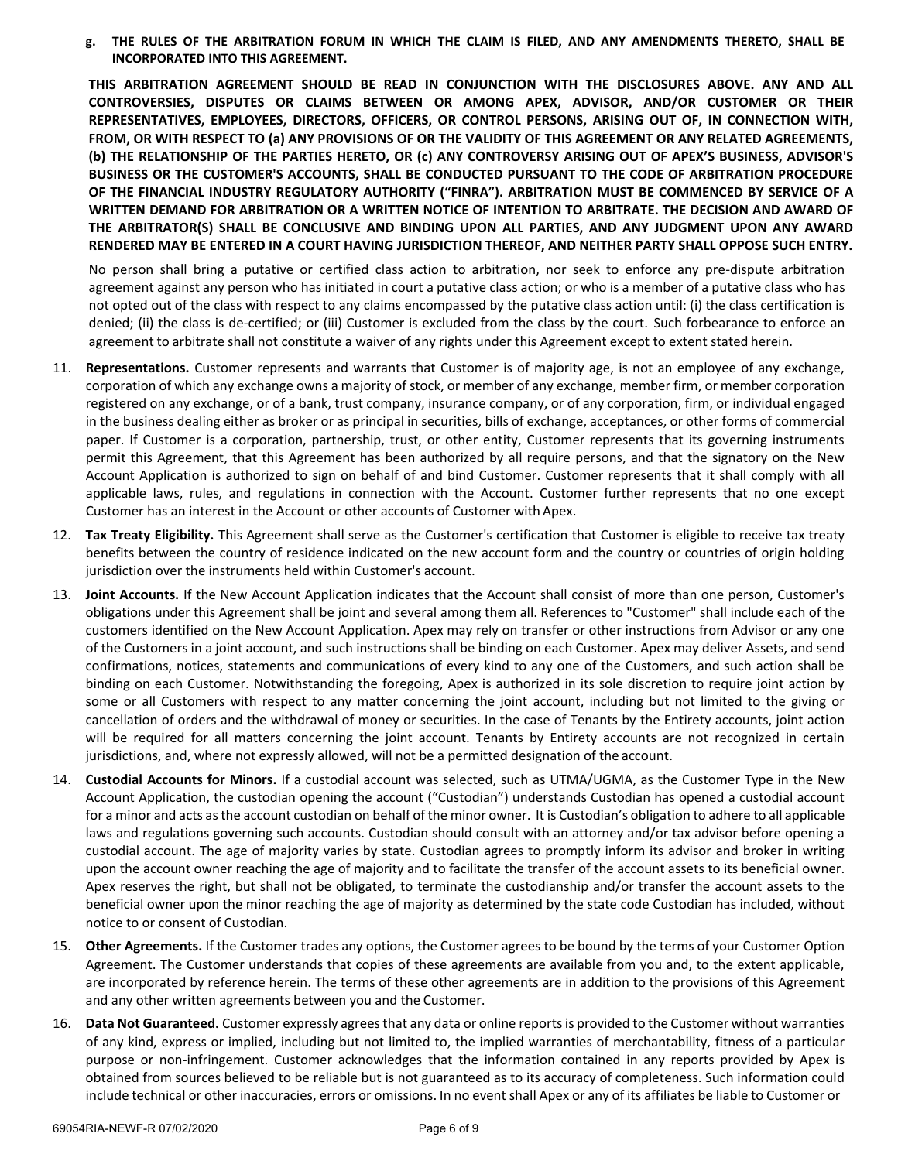**g. THE RULES OF THE ARBITRATION FORUM IN WHICH THE CLAIM IS FILED, AND ANY AMENDMENTS THERETO, SHALL BE INCORPORATED INTO THIS AGREEMENT.**

**THIS ARBITRATION AGREEMENT SHOULD BE READ IN CONJUNCTION WITH THE DISCLOSURES ABOVE. ANY AND ALL CONTROVERSIES, DISPUTES OR CLAIMS BETWEEN OR AMONG APEX, ADVISOR, AND/OR CUSTOMER OR THEIR REPRESENTATIVES, EMPLOYEES, DIRECTORS, OFFICERS, OR CONTROL PERSONS, ARISING OUT OF, IN CONNECTION WITH, FROM, OR WITH RESPECT TO (a) ANY PROVISIONS OF OR THE VALIDITY OF THIS AGREEMENT OR ANY RELATED AGREEMENTS, (b) THE RELATIONSHIP OF THE PARTIES HERETO, OR (c) ANY CONTROVERSY ARISING OUT OF APEX'S BUSINESS, ADVISOR'S BUSINESS OR THE CUSTOMER'S ACCOUNTS, SHALL BE CONDUCTED PURSUANT TO THE CODE OF ARBITRATION PROCEDURE OF THE FINANCIAL INDUSTRY REGULATORY AUTHORITY ("FINRA"). ARBITRATION MUST BE COMMENCED BY SERVICE OF A WRITTEN DEMAND FOR ARBITRATION OR A WRITTEN NOTICE OF INTENTION TO ARBITRATE. THE DECISION AND AWARD OF THE ARBITRATOR(S) SHALL BE CONCLUSIVE AND BINDING UPON ALL PARTIES, AND ANY JUDGMENT UPON ANY AWARD RENDERED MAY BE ENTERED IN A COURT HAVING JURISDICTION THEREOF, AND NEITHER PARTY SHALL OPPOSE SUCH ENTRY.**

No person shall bring a putative or certified class action to arbitration, nor seek to enforce any pre-dispute arbitration agreement against any person who has initiated in court a putative class action; or who is a member of a putative class who has not opted out of the class with respect to any claims encompassed by the putative class action until: (i) the class certification is denied; (ii) the class is de-certified; or (iii) Customer is excluded from the class by the court. Such forbearance to enforce an agreement to arbitrate shall not constitute a waiver of any rights under this Agreement except to extent stated herein.

- 11. **Representations.** Customer represents and warrants that Customer is of majority age, is not an employee of any exchange, corporation of which any exchange owns a majority of stock, or member of any exchange, member firm, or member corporation registered on any exchange, or of a bank, trust company, insurance company, or of any corporation, firm, or individual engaged in the business dealing either as broker or as principal in securities, bills of exchange, acceptances, or other forms of commercial paper. If Customer is a corporation, partnership, trust, or other entity, Customer represents that its governing instruments permit this Agreement, that this Agreement has been authorized by all require persons, and that the signatory on the New Account Application is authorized to sign on behalf of and bind Customer. Customer represents that it shall comply with all applicable laws, rules, and regulations in connection with the Account. Customer further represents that no one except Customer has an interest in the Account or other accounts of Customer with Apex.
- 12. **Tax Treaty Eligibility.** This Agreement shall serve as the Customer's certification that Customer is eligible to receive tax treaty benefits between the country of residence indicated on the new account form and the country or countries of origin holding jurisdiction over the instruments held within Customer's account.
- 13. **Joint Accounts.** If the New Account Application indicates that the Account shall consist of more than one person, Customer's obligations under this Agreement shall be joint and several among them all. References to "Customer" shall include each of the customers identified on the New Account Application. Apex may rely on transfer or other instructions from Advisor or any one of the Customers in a joint account, and such instructions shall be binding on each Customer. Apex may deliver Assets, and send confirmations, notices, statements and communications of every kind to any one of the Customers, and such action shall be binding on each Customer. Notwithstanding the foregoing, Apex is authorized in its sole discretion to require joint action by some or all Customers with respect to any matter concerning the joint account, including but not limited to the giving or cancellation of orders and the withdrawal of money or securities. In the case of Tenants by the Entirety accounts, joint action will be required for all matters concerning the joint account. Tenants by Entirety accounts are not recognized in certain jurisdictions, and, where not expressly allowed, will not be a permitted designation of the account.
- 14. **Custodial Accounts for Minors.** If a custodial account was selected, such as UTMA/UGMA, as the Customer Type in the New Account Application, the custodian opening the account ("Custodian") understands Custodian has opened a custodial account for a minor and acts asthe account custodian on behalf of the minor owner. It is Custodian's obligation to adhere to all applicable laws and regulations governing such accounts. Custodian should consult with an attorney and/or tax advisor before opening a custodial account. The age of majority varies by state. Custodian agrees to promptly inform its advisor and broker in writing upon the account owner reaching the age of majority and to facilitate the transfer of the account assets to its beneficial owner. Apex reserves the right, but shall not be obligated, to terminate the custodianship and/or transfer the account assets to the beneficial owner upon the minor reaching the age of majority as determined by the state code Custodian has included, without notice to or consent of Custodian.
- 15. **Other Agreements.** If the Customer trades any options, the Customer agrees to be bound by the terms of your Customer Option Agreement. The Customer understands that copies of these agreements are available from you and, to the extent applicable, are incorporated by reference herein. The terms of these other agreements are in addition to the provisions of this Agreement and any other written agreements between you and the Customer.
- 16. **Data Not Guaranteed.** Customer expressly agreesthat any data or online reportsis provided to the Customer without warranties of any kind, express or implied, including but not limited to, the implied warranties of merchantability, fitness of a particular purpose or non-infringement. Customer acknowledges that the information contained in any reports provided by Apex is obtained from sources believed to be reliable but is not guaranteed as to its accuracy of completeness. Such information could include technical or other inaccuracies, errors or omissions. In no event shall Apex or any of its affiliates be liable to Customer or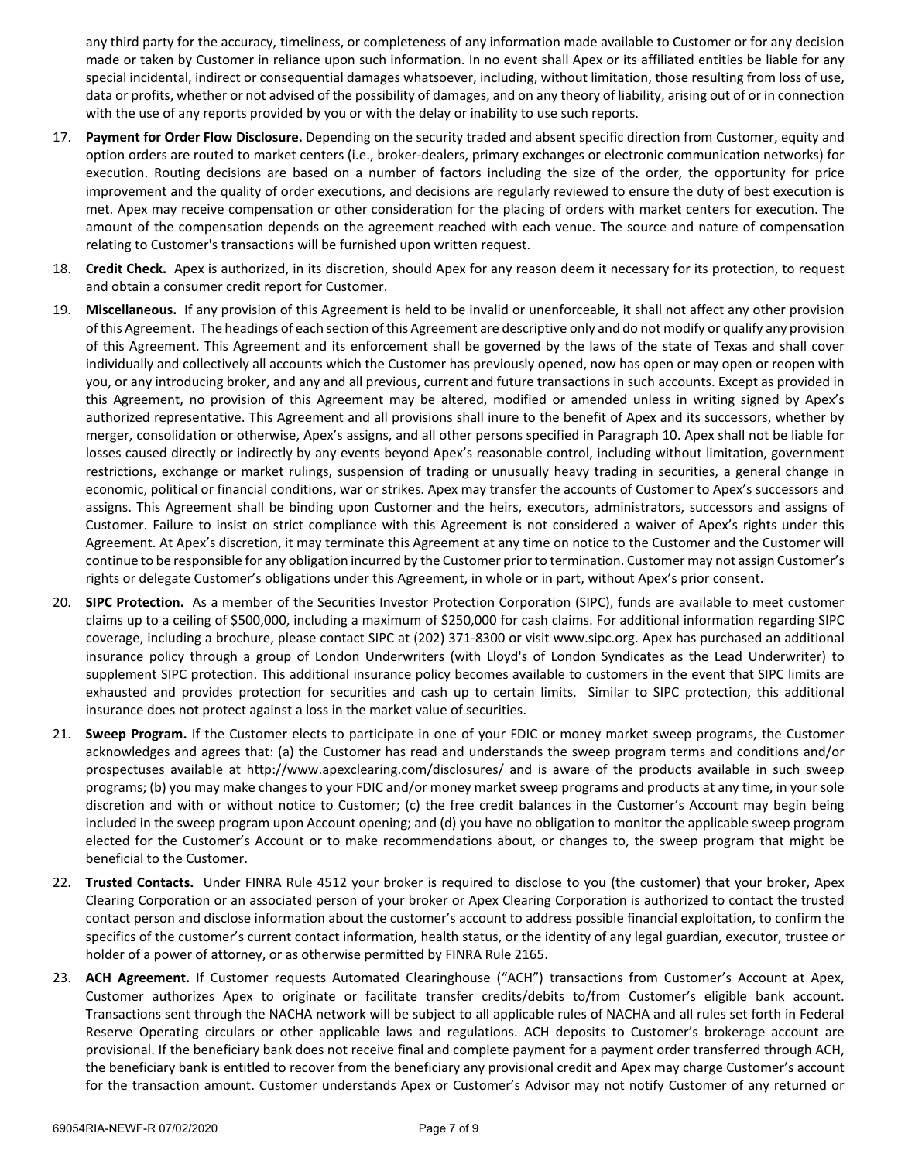any third party for the accuracy, timeliness, or completeness of any information made available to Customer or for any decision made or taken by Customer in reliance upon such information. In no event shall Apex or its affiliated entities be liable for any special incidental, indirect or consequential damages whatsoever, including, without limitation, those resulting from loss of use, data or profits, whether or not advised of the possibility of damages, and on any theory of liability, arising out of or in connection with the use of any reports provided by you or with the delay or inability to use such reports.

- 17. **Payment for Order Flow Disclosure.** Depending on the security traded and absent specific direction from Customer, equity and option orders are routed to market centers (i.e., broker-dealers, primary exchanges or electronic communication networks) for execution. Routing decisions are based on a number of factors including the size of the order, the opportunity for price improvement and the quality of order executions, and decisions are regularly reviewed to ensure the duty of best execution is met. Apex may receive compensation or other consideration for the placing of orders with market centers for execution. The amount of the compensation depends on the agreement reached with each venue. The source and nature of compensation relating to Customer's transactions will be furnished upon written request.
- 18. **Credit Check.** Apex is authorized, in its discretion, should Apex for any reason deem it necessary for its protection, to request and obtain a consumer credit report for Customer.
- 19. **Miscellaneous.** If any provision of this Agreement is held to be invalid or unenforceable, it shall not affect any other provision of this Agreement. The headings of each section of this Agreement are descriptive only and do not modify or qualify any provision of this Agreement. This Agreement and its enforcement shall be governed by the laws of the state of Texas and shall cover individually and collectively all accounts which the Customer has previously opened, now has open or may open or reopen with you, or any introducing broker, and any and all previous, current and future transactions in such accounts. Except as provided in this Agreement, no provision of this Agreement may be altered, modified or amended unless in writing signed by Apex's authorized representative. This Agreement and all provisions shall inure to the benefit of Apex and its successors, whether by merger, consolidation or otherwise, Apex's assigns, and all other persons specified in Paragraph 10. Apex shall not be liable for losses caused directly or indirectly by any events beyond Apex's reasonable control, including without limitation, government restrictions, exchange or market rulings, suspension of trading or unusually heavy trading in securities, a general change in economic, political or financial conditions, war or strikes. Apex may transfer the accounts of Customer to Apex's successors and assigns. This Agreement shall be binding upon Customer and the heirs, executors, administrators, successors and assigns of Customer. Failure to insist on strict compliance with this Agreement is not considered a waiver of Apex's rights under this Agreement. At Apex's discretion, it may terminate this Agreement at any time on notice to the Customer and the Customer will continue to be responsible for any obligation incurred by the Customer prior to termination. Customer may not assign Customer's rights or delegate Customer's obligations under this Agreement, in whole or in part, without Apex's prior consent.
- 20. **SIPC Protection.** As a member of the Securities Investor Protection Corporation (SIPC), funds are available to meet customer claims up to a ceiling of \$500,000, including a maximum of \$250,000 for cash claims. For additional information regarding SIPC coverage, including a brochure, please contact SIPC at (202) 371-8300 or visit www.sipc.org. Apex has purchased an additional insurance policy through a group of London Underwriters (with Lloyd's of London Syndicates as the Lead Underwriter) to supplement SIPC protection. This additional insurance policy becomes available to customers in the event that SIPC limits are exhausted and provides protection for securities and cash up to certain limits. Similar to SIPC protection, this additional insurance does not protect against a loss in the market value of securities.
- 21. **Sweep Program.** If the Customer elects to participate in one of your FDIC or money market sweep programs, the Customer acknowledges and agrees that: (a) the Customer has read and understands the sweep program terms and conditions and/or prospectuses available at http://www.apexclearing.com/disclosures/ and is aware of the products available in such sweep programs; (b) you may make changes to your FDIC and/or money market sweep programs and products at any time, in your sole discretion and with or without notice to Customer; (c) the free credit balances in the Customer's Account may begin being included in the sweep program upon Account opening; and (d) you have no obligation to monitor the applicable sweep program elected for the Customer's Account or to make recommendations about, or changes to, the sweep program that might be beneficial to the Customer.
- 22. **Trusted Contacts.** Under FINRA Rule 4512 your broker is required to disclose to you (the customer) that your broker, Apex Clearing Corporation or an associated person of your broker or Apex Clearing Corporation is authorized to contact the trusted contact person and disclose information about the customer's account to address possible financial exploitation, to confirm the specifics of the customer's current contact information, health status, or the identity of any legal guardian, executor, trustee or holder of a power of attorney, or as otherwise permitted by FINRA Rule 2165.
- 23. **ACH Agreement.** If Customer requests Automated Clearinghouse ("ACH") transactions from Customer's Account at Apex, Customer authorizes Apex to originate or facilitate transfer credits/debits to/from Customer's eligible bank account. Transactions sent through the NACHA network will be subject to all applicable rules of NACHA and all rules set forth in Federal Reserve Operating circulars or other applicable laws and regulations. ACH deposits to Customer's brokerage account are provisional. If the beneficiary bank does not receive final and complete payment for a payment order transferred through ACH, the beneficiary bank is entitled to recover from the beneficiary any provisional credit and Apex may charge Customer's account for the transaction amount. Customer understands Apex or Customer's Advisor may not notify Customer of any returned or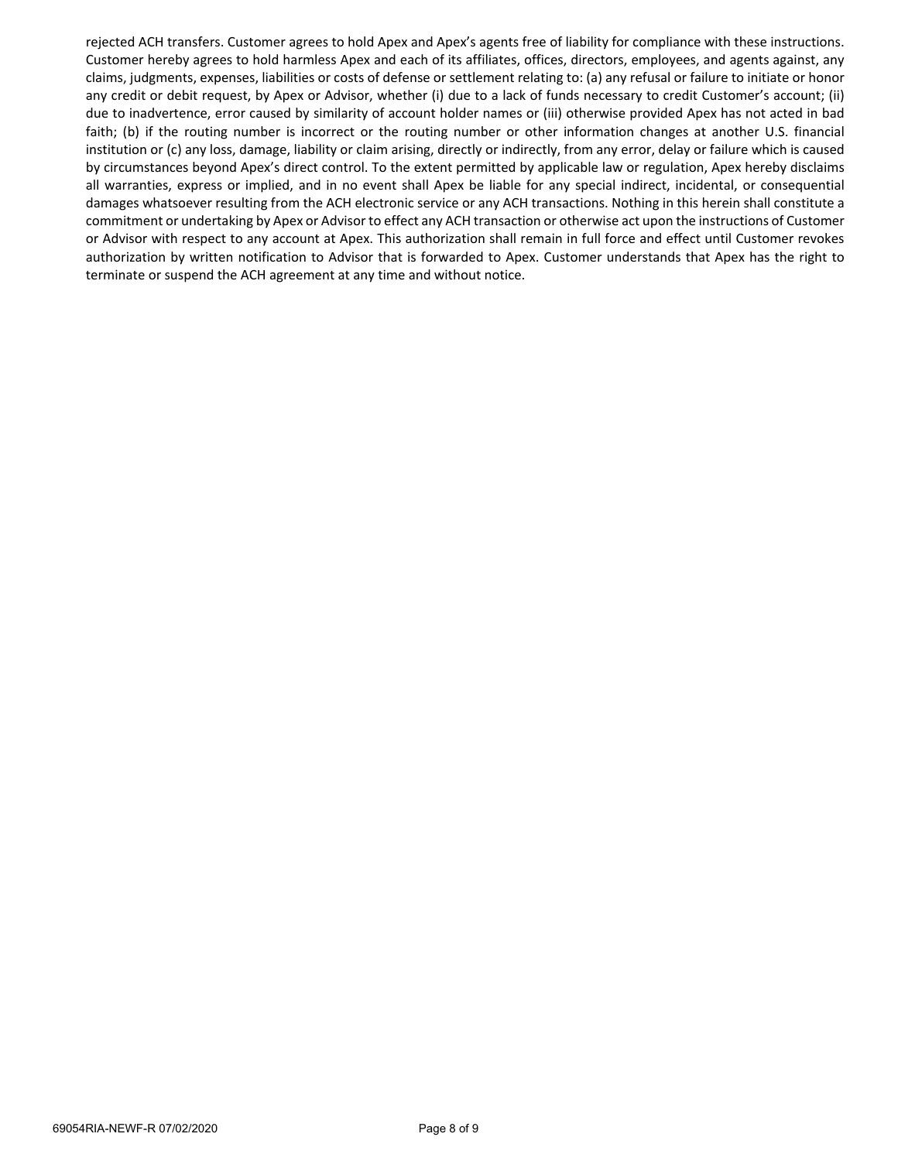rejected ACH transfers. Customer agrees to hold Apex and Apex's agents free of liability for compliance with these instructions. Customer hereby agrees to hold harmless Apex and each of its affiliates, offices, directors, employees, and agents against, any claims, judgments, expenses, liabilities or costs of defense or settlement relating to: (a) any refusal or failure to initiate or honor any credit or debit request, by Apex or Advisor, whether (i) due to a lack of funds necessary to credit Customer's account; (ii) due to inadvertence, error caused by similarity of account holder names or (iii) otherwise provided Apex has not acted in bad faith; (b) if the routing number is incorrect or the routing number or other information changes at another U.S. financial institution or (c) any loss, damage, liability or claim arising, directly or indirectly, from any error, delay or failure which is caused by circumstances beyond Apex's direct control. To the extent permitted by applicable law or regulation, Apex hereby disclaims all warranties, express or implied, and in no event shall Apex be liable for any special indirect, incidental, or consequential damages whatsoever resulting from the ACH electronic service or any ACH transactions. Nothing in this herein shall constitute a commitment or undertaking by Apex or Advisor to effect any ACH transaction or otherwise act upon the instructions of Customer or Advisor with respect to any account at Apex. This authorization shall remain in full force and effect until Customer revokes authorization by written notification to Advisor that is forwarded to Apex. Customer understands that Apex has the right to terminate or suspend the ACH agreement at any time and without notice.